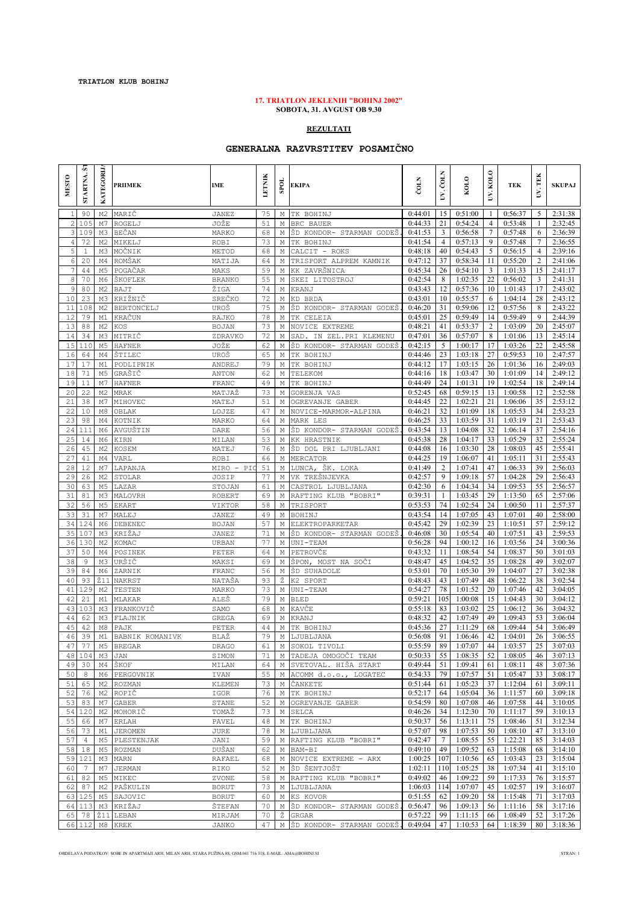## **17. TRIATLON JEKLENIH "BOHINJ 2002" SOBOTA, 31. AVGUST OB 9.30**

## **REZULTATI**

## **GENERALNA RAZVRSTITEV POSAMIČNO**

| <b>MESTO</b>   | <b>STARTNA.S</b> | KATEGORIJ                        | <b>PRIIMEK</b>               | <b>IME</b>            | ETNIK    | <b>SPOI</b> | EKIPA                                                             | ČOLN               | UV. ČOLN        | KOLO               | KOLO<br>Š       | TEK                             | UV. TEK               | <b>SKUPAJ</b>      |
|----------------|------------------|----------------------------------|------------------------------|-----------------------|----------|-------------|-------------------------------------------------------------------|--------------------|-----------------|--------------------|-----------------|---------------------------------|-----------------------|--------------------|
| $\mathbf{1}$   | 90               | M <sub>2</sub>                   | MARIČ                        | <b>JANEZ</b>          | 75       |             | M TK BOHINJ                                                       | 0:44:01            | 15              | 0:51:00            | -1              | 0:56:37                         | 5                     | 2:31:38            |
| $\mathbf{2}$   | 105              | M7                               | ROGELJ                       | JOŽE                  | 51       |             | M BRC BAUER                                                       | 0:44:33            | 21              | 0:54:24            | 4               | 0:53:48                         | 1                     | 2:32:45            |
| $\mathcal{E}$  | 109              | M3                               | BEČAN                        | MARKO                 | 68       | М           | ŠD KONDOR- STARMAN GODEŠ                                          | 0:41:53            | $\mathfrak{Z}$  | 0:56:58            | 7               | 0:57:48                         | 6                     | 2:36:39            |
| $\overline{4}$ | 72               | M <sub>2</sub>                   | MIKELJ                       | ROBI                  | 73       | М           | TK BOHINJ                                                         | 0:41:54            | 4               | 0:57:13            | 9               | 0:57:48                         | 7                     | 2:36:55            |
| 5<br>6         | $1\,$<br>20      | M3<br>M4                         | MOČNIK<br>ROMŠAK             | METOD                 | 68<br>64 | М           | CALCIT - ROKS<br>TRISPORT ALPREM KAMNIK                           | 0:48:18<br>0:47:12 | 40<br>37        | 0:54:43<br>0:58:34 | 5<br>11         | 0:56:15<br>0:55:20              | 4<br>2                | 2:39:16<br>2:41:06 |
| 7              | 44               | M <sub>5</sub>                   | POGAČAR                      | MATIJA<br>MAKS        | 59       | М<br>М      | KK ZAVRŠNICA                                                      | 0:45:34            | 26              | 0:54:10            | 3               | 1:01:33                         | 15                    | 2:41:17            |
| 8              | 70               | M6                               | ŠKOFLEK                      | <b>BRANKO</b>         | 55       | М           | SKEI LITOSTROJ                                                    | 0:42:54            | 8               | 1:02:35            | 22              | 0:56:02                         | 3                     | 2:41:31            |
| 9              | 80               | M <sub>2</sub>                   | BAJT                         | ŽIGA                  | 74       | М           | KRANJ                                                             | 0:43:43            | 12              | 0:57:36            | 10              | 1:01:43                         | 17                    | 2:43:02            |
| 10             | 23               | M3                               | KRIŽNIČ                      | SREČKO                | 72       | М           | KD BRDA                                                           | 0:43:01            | 10              | 0:55:57            | 6               | 1:04:14                         | 28                    | 2:43:12            |
| 11             | 108              | M <sub>2</sub>                   | BERTONCELJ                   | UROŠ                  | 75       | М           | ŠD KONDOR- STARMAN GODEŠ                                          | 0:46:20            | 31              | 0:59:06            | 12              | 0:57:56                         | 8                     | 2:43:22            |
| 12             | 79               | M1                               | KRAČUN                       | RAJKO                 | 78       | М           | TK CELEIA                                                         | 0:45:01            | 25              | 0:59:49            | 14              | 0:59:49                         | 9                     | 2:44:39            |
| 13             | 88               | M <sub>2</sub>                   | KOS                          | <b>BOJAN</b>          | 73       | М           | NOVICE EXTREME                                                    | 0:48:21            | 41              | 0:53:37            | $\overline{c}$  | 1:03:09                         | 20                    | 2:45:07            |
| 14<br>15       | 34<br>110        | M3<br>M <sub>5</sub>             | MITRIČ<br><b>HAFNER</b>      | ZDRAVKO<br>JOŽE       | 72<br>62 | М<br>М      | SAD.<br>IN ZEL. PRI KLEMENU<br>ŠD KONDOR- STARMAN GODEŠ           | 0:47:01<br>0:42:15 | 36<br>5         | 0:57:07<br>1:00:17 | 8<br>17         | 1:01:06<br>1:03:26              | 13<br>22              | 2:45:14<br>2:45:58 |
| 16             | 64               | M4                               | ŠTILEC                       | UROŠ                  | 65       | Μ           | TK BOHINJ                                                         | 0:44:46            | 23              | 1:03:18            | 27              | 0:59:53                         | 10                    | 2:47:57            |
| 17             | 17               | M1                               | PODLIPNIK                    | ANDREJ                | 79       | М           | TK BOHINJ                                                         | 0:44:12            | 17              | 1:03:15            | 26              | 1:01:36                         | 16                    | 2:49:03            |
| 18             | 71               | M <sub>5</sub>                   | GRAŠIČ                       | ANTON                 | 62       | М           | TELEKOM                                                           | 0:44:16            | 18              | 1:03:47            | 30              | 1:01:09                         | 14                    | 2:49:12            |
| 19             | 11               | M7                               | HAFNER                       | FRANC                 | 49       | М           | TK BOHINJ                                                         | 0:44:49            | 24              | 1:01:31            | 19              | 1:02:54                         | 18                    | 2:49:14            |
| 20             | 22               | M <sub>2</sub>                   | MRAK                         | MATJAŽ                | 73       | М           | GORENJA VAS                                                       | 0:52:45            | 68              | 0:59:15            | 13              | 1:00:58                         | 12                    | 2:52:58            |
| 21             | 38               | M7                               | MIHOVEC                      | MATEJ                 | 51       | Μ           | OGREVANJE GABER                                                   | 0:44:45            | 22              | 1:02:21            | 21              | 1:06:06                         | 35                    | 2:53:12            |
| 22             | 10               | M8                               | OBLAK                        | LOJZE                 | 47       | М           | NOVICE-MARMOR-ALPINA                                              | 0:46:21            | 32              | 1:01:09            | 18              | 1:05:53                         | 34                    | 2:53:23            |
| 23<br>24       | 98<br>111        | M4                               | KOTNIK                       | MARKO                 | 64<br>56 | Μ           | MARK LES<br>ŠD KONDOR- STARMAN GODEŠ                              | 0:46:25            | 33<br>13        | 1:03:59<br>1:04:08 | 31<br>32        | 1:03:19                         | 21                    | 2:53:43            |
| 25             | 14               | M <sub>6</sub><br>M <sub>6</sub> | AVGUŠTIN<br>KIRN             | DARE<br>MILAN         | 53       | М<br>М      | KК<br>HRASTNIK                                                    | 0:43:54<br>0:45:38 | 28              | 1:04:17            | 33              | 1:06:14<br>1:05:29              | 37<br>32              | 2:54:16<br>2:55:24 |
| 26             | 45               | M <sub>2</sub>                   | KOSEM                        | MATEJ                 | 76       | Μ           | ŠD DOL PRI LJUBLJANI                                              | 0:44:08            | 16              | 1:03:30            | 28              | 1:08:03                         | 45                    | 2:55:41            |
| 27             | 41               | M4                               | VARL                         | <b>ROBI</b>           | 66       | М           | MERCATOR                                                          | 0:44:25            | 19              | 1:06:07            | 41              | 1:05:11                         | 31                    | 2:55:43            |
| 28             | 12               | M7                               | LAPANJA                      | MIRO - PI             | 51       | М           | ŠK. LOKA<br>LUNCA,                                                | 0:41:49            | 2               | 1:07:41            | 47              | 1:06:33                         | 39                    | 2:56:03            |
| 29             | 26               | M <sub>2</sub>                   | STOLAR                       | JOSIP                 | 77       | М           | VK TREŠNJEVKA                                                     | 0:42:57            | 9               | 1:09:18            | 57              | 1:04:28                         | 29                    | 2:56:43            |
| 30             | 63               | M <sub>5</sub>                   | LAZAR                        | STOJAN                | 61       | М           | CASTROL LJUBLJANA                                                 | 0:42:30            | 6               | 1:04:34            | 34              | 1:09:53                         | 55                    | 2:56:57            |
| 31             | 81               | M3                               | MALOVRH                      | ROBERT                | 69       | M           | RAFTING KLUB "BOBRI"                                              | 0:39:31            | 1               | 1:03:45            | 29              | 1:13:50                         | 65                    | 2:57:06            |
| 32             | 56               | M <sub>5</sub>                   | <b>EKART</b>                 | VIKTOR                | 58       | М           | TRISPORT                                                          | 0:53:53            | 74              | 1:02:54            | 24              | 1:00:50                         | 11                    | 2:57:37            |
| 33<br>34       | 31<br>124        | M7<br>M <sub>6</sub>             | MALEJ                        | JANEZ                 | 49<br>57 | М           | BOHINJ                                                            | 0:43:54<br>0:45:42 | 14<br>29        | 1:07:05<br>1:02:39 | 43<br>23        | 1:07:01<br>1:10:51              | 40<br>57              | 2:58:00<br>2:59:12 |
| 35             | 107              | M3                               | DEBENEC<br>KRIŽAJ            | <b>BOJAN</b><br>JANEZ | 71       | М<br>М      | ELEKTROPARKETAR<br>ŠD KONDOR- STARMAN GODEŠ                       | 0:46:08            | 30              | 1:05:54            | 40              | 1:07:51                         | 43                    | 2:59:53            |
| 36             | 130              | M <sub>2</sub>                   | KOMAC                        | URBAN                 | 77       | М           | UNI-TEAM                                                          | 0:56:28            | 94              | 1:00:12            | 16              | 1:03:56                         | 24                    | 3:00:36            |
| 37             | 50               | M4                               | POSINEK                      | PETER                 | 64       | М           | PETROVČE                                                          | 0:43:32            | 11              | 1:08:54            | 54              | 1:08:37                         | 50                    | 3:01:03            |
| 38             | 9                | M3                               | URŠIČ                        | MAKSI                 | 69       | М           | ŠPON, MOST NA SOČI                                                | 0:48:47            | 45              | 1:04:52            | 35              | 1:08:28                         | 49                    | 3:02:07            |
| 39             | 84               | M <sub>6</sub>                   | ZARNIK                       | FRANC                 | 56       | М           | ŠD SUHADOLE                                                       | 0:53:01            | 70              | 1:05:30            | 39              | 1:04:07                         | 27                    | 3:02:38            |
| 40             | 93               | Ž11                              | <b>NAKRST</b>                | NATAŠA                | 93       | Ž           | K2 SPORT                                                          | 0:48:43            | 43              | 1:07:49            | 48              | 1:06:22                         | 38                    | 3:02:54            |
| 41             | 129              | M <sub>2</sub>                   | TESTEN                       | MARKO                 | 73       | М           | UNI-TEAM                                                          | 0:54:27            | 78              | 1:01:52            | 20              | 1:07:46                         | 42                    | 3:04:05            |
| 42             | 21               | M1                               | MLAKAR                       | ALEŠ                  | 79       | М           | <b>BLED</b>                                                       | 0:59:21            | 105             | 1:00:08            | 15              | 1:04:43                         | 30                    | 3:04:12            |
| 43<br>44       | 103<br>62        | M3<br>M3                         | FRANKOVIČ                    | SAMO                  | 68<br>69 | М<br>М      | KAVČE                                                             | 0:55:18<br>0:48:32 | 83<br>42        | 1:03:02<br>1:07:49 | 25<br>49        | 1:06:12<br>1:09:43              | 36<br>53              | 3:04:32<br>3:06:04 |
| 45             | 42               | M8                               | FLAJNIK<br>PAJK              | GREGA<br>PETER        | 44       | М           | KRANJ<br>TK BOHINJ                                                | 0:45:36            | 27              | 1:11:29            | 68              | 1:09:44                         | 54                    | 3:06:49            |
| 46             | 39               | M1                               | BABNIK ROMANIVK              | BLAŽ                  | 79       | М           | LJUBLJANA                                                         | 0:56:08            | 91              | 1:06:46            | 42              | 1:04:01                         | 26                    | 3:06:55            |
| 471            | 77 I             |                                  | M5 BREGAR                    | DRAGO                 | 61       |             | M SOKOL TIVOLI                                                    |                    |                 |                    |                 | $0:55:59$ 89 1:07:07 44 1:03:57 | 25 <sub>1</sub>       | 3:07:03            |
|                | 48 104           | МЗ                               | JAN                          | SIMON                 | 71       |             | M TADEJA OMOGOČI TEAM                                             | $0:50:33$ 55       |                 | 1:08:35            | 52              | 1:08:05                         | 46                    | 3:07:13            |
| 49             | 30               |                                  | M4 ŠKOF                      | MILAN                 | 64       |             | M SVETOVAL. HIŠA START                                            | $0:49:44$ 51       |                 | 1:09:41            | 61              | 1:08:11                         | 48                    | 3:07:36            |
| 50             | 8                |                                  | M6 PERGOVNIK                 | IVAN                  | 55       |             | M ACOMM d.o.o., LOGATEC                                           | 0:54:33            | 79              | 1:07:57            | 51              | 1:05:47                         | 33                    | 3:08:17            |
| 51             | 65               | M2                               | ROZMAN                       | <b>KLEMEN</b>         | 73       |             | M ČANKETE                                                         | 0:51:44            | 61              | 1:05:23            | 37              | 1:12:04                         | 61                    | 3:09:11            |
| 52             | 76               |                                  | M2 ROPIČ                     | IGOR                  | 76       | M           | TK BOHINJ                                                         | 0:52:17            | 64              | 1:05:04            | 36              | 1:11:57                         | 60                    | 3:09:18            |
| 53             | 83<br>54 120     |                                  | M7 GABER<br>M2 MOHORIČ       | STANE<br>TOMAŽ        | 52<br>73 | M           | M OGREVANJE GABER<br>SELCA                                        | 0:54:59<br>0:46:26 | 80<br>34        | 1:07:08<br>1:12:30 | 46<br>70        | 1:07:58<br>1:11:17              | 44<br>59 <sup>1</sup> | 3:10:05<br>3:10:13 |
| 55             | 66               |                                  | M7 ERLAH                     | PAVEL                 | 48       |             | M TK BOHINJ                                                       | 0:50:37            | 56              | 1:13:11            | 75              | 1:08:46                         | 51 I                  | 3:12:34            |
|                | 56 73            |                                  | M1 JEROMEN                   | JURE                  | 78       |             | M LJUBLJANA                                                       | 0:57:07            | 98              | 1:07:53            | 50              | 1:08:10                         | 47                    | 3:13:10            |
| 57             | $\overline{4}$   |                                  | M5 PLESTENJAK                | JANI                  | 59       |             | M RAFTING KLUB "BOBRI"                                            | 0:42:47            | $7\overline{ }$ | 1:08:55            | 55              | 1:22:21                         | 85                    | 3:14:03            |
|                | 58 18            |                                  | M5 ROZMAN                    | DUŠAN                 | 62       |             | M BAM-BI                                                          | $0.49:10$ 49       |                 | 1:09:52            | 63              | 1:15:08                         | 68                    | 3:14:10            |
|                | 59 121           |                                  | M3 MARN                      | RAFAEL                | 68       |             | M NOVICE EXTREME - ARX                                            | 1:00:25   107      |                 | 1:10:56            | 65 I            | 1:03:43                         | 23 <sup>1</sup>       | 3:15:04            |
| 60             | $7\phantom{.0}$  | M7                               | <b>JERMAN</b>                | RIKO                  | 52       |             | M ŠD ŠENTJOŠT                                                     | 1:02:11 110        |                 | 1:05:25            | 38 <sup>1</sup> | 1:07:34                         |                       | $41 \quad 3:15:10$ |
|                | 61 82            |                                  | M5 MIKEC                     | ZVONE                 | 58       |             | M RAFTING KLUB "BOBRI"                                            | 0:49:02            | 46              | 1:09:22            | 59              | 1:17:33                         | 76                    | 3:15:57            |
|                | 62 87            |                                  | M2 PAŠKULIN                  | <b>BORUT</b>          | 73       |             | M LJUBLJANA                                                       | 1:06:03 114        |                 | 1:07:07            | 45              | 1:02:57                         | 19                    | 3:16:07            |
|                | 63 125           |                                  | M5 SAJOVIC                   | <b>BORUT</b>          | 60       |             | M KS KOVOR                                                        | 0:51:55            | 62              | 1:09:20            | 58<br>56        | 1:15:48                         | 71                    | 3:17:03            |
|                | 64 113           |                                  | M3 KRIŽAJ<br>65 78 Ž11 LEBAN | ŠTEFAN<br>MIRJAM      | 70<br>70 |             | M ŠD KONDOR- STARMAN GODEŠ.<br>Ž GRGAR                            | 0:56:47<br>0:57:22 | 96<br>99        | 1:09:13<br>1:11:15 | 66              | 1:11:16<br>1:08:49              | 58<br>52              | 3:17:16<br>3:17:26 |
|                |                  |                                  | 66 112 M8 KREK               | JANKO                 | 47       |             | M ŠD KONDOR- STARMAN GODEŠ. 0:49:04   47   1:10:53   64   1:18:39 |                    |                 |                    |                 |                                 |                       | 80 3:18:36         |